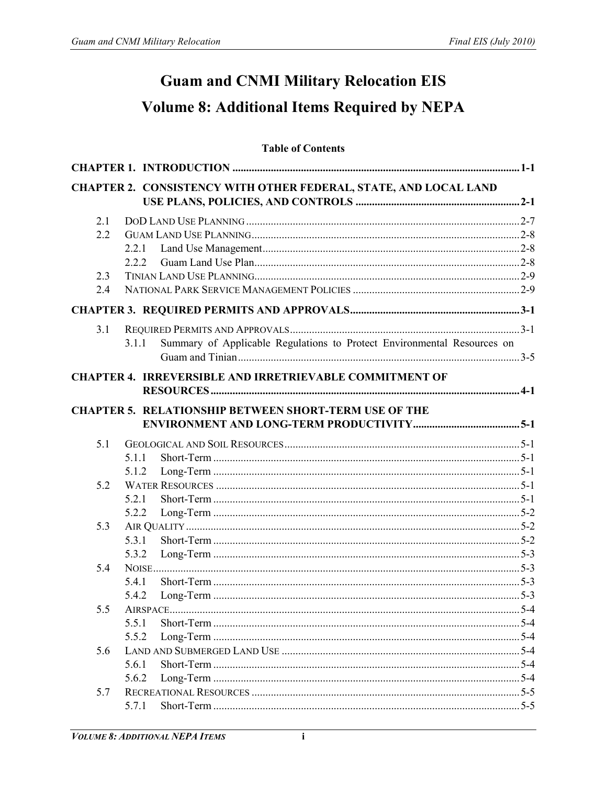# **Guam and CNMI Military Relocation EIS Volume 8: Additional Items Required by NEPA**

# **Table of Contents**

|     | CHAPTER 2. CONSISTENCY WITH OTHER FEDERAL, STATE, AND LOCAL LAND                 |  |
|-----|----------------------------------------------------------------------------------|--|
|     |                                                                                  |  |
| 2.1 |                                                                                  |  |
| 2.2 |                                                                                  |  |
|     | 2.2.1                                                                            |  |
|     | 2.2.2                                                                            |  |
| 2.3 |                                                                                  |  |
| 2.4 |                                                                                  |  |
|     |                                                                                  |  |
| 3.1 |                                                                                  |  |
|     | Summary of Applicable Regulations to Protect Environmental Resources on<br>3.1.1 |  |
|     |                                                                                  |  |
|     | <b>CHAPTER 4. IRREVERSIBLE AND IRRETRIEVABLE COMMITMENT OF</b>                   |  |
|     |                                                                                  |  |
|     |                                                                                  |  |
|     | <b>CHAPTER 5. RELATIONSHIP BETWEEN SHORT-TERM USE OF THE</b>                     |  |
|     |                                                                                  |  |
| 5.1 |                                                                                  |  |
|     | 5.1.1                                                                            |  |
|     | 5.1.2                                                                            |  |
| 5.2 |                                                                                  |  |
|     | 5.2.1                                                                            |  |
|     | 5.2.2                                                                            |  |
| 5.3 |                                                                                  |  |
|     | 5.3.1                                                                            |  |
|     | 5.3.2                                                                            |  |
| 5.4 |                                                                                  |  |
|     | 5.4.1                                                                            |  |
|     | 5.4.2                                                                            |  |
| 5.5 |                                                                                  |  |
|     | 5.5.1                                                                            |  |
|     | 5.5.2                                                                            |  |
| 5.6 | 5.6.1                                                                            |  |
|     | 5.6.2                                                                            |  |
| 5.7 |                                                                                  |  |
|     | 5.7.1                                                                            |  |
|     |                                                                                  |  |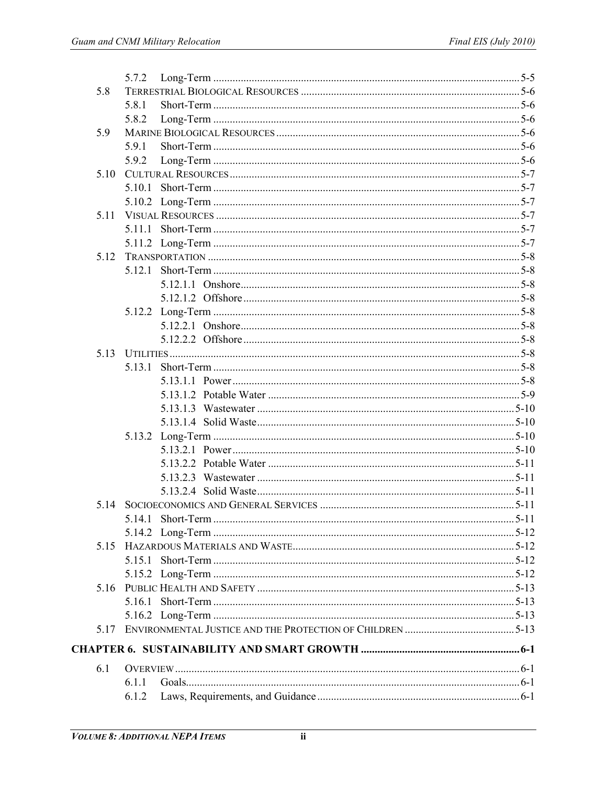| 5.8   |  |
|-------|--|
|       |  |
| 5.8.1 |  |
| 5.8.2 |  |
| 5.9   |  |
| 5.9.1 |  |
| 5.9.2 |  |
| 5.10  |  |
|       |  |
|       |  |
| 5.11  |  |
|       |  |
|       |  |
| 5.12  |  |
|       |  |
|       |  |
|       |  |
|       |  |
|       |  |
|       |  |
| 5.13  |  |
|       |  |
|       |  |
|       |  |
|       |  |
|       |  |
|       |  |
|       |  |
|       |  |
|       |  |
|       |  |
|       |  |
|       |  |
|       |  |
| 5.15  |  |
|       |  |
|       |  |
|       |  |
|       |  |
|       |  |
| 5.17  |  |
|       |  |
|       |  |
| 6.1   |  |
| 6.1.1 |  |
| 6.1.2 |  |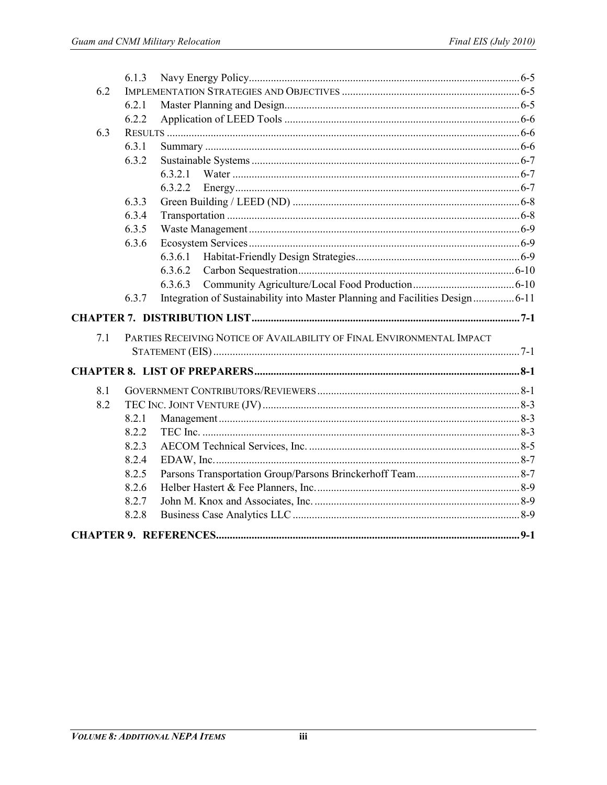|     | 6.1.3          |                                                                               |  |
|-----|----------------|-------------------------------------------------------------------------------|--|
| 6.2 |                |                                                                               |  |
|     | 6.2.1          |                                                                               |  |
|     | 6.2.2          |                                                                               |  |
| 6.3 |                |                                                                               |  |
|     | 6.3.1          |                                                                               |  |
|     | 6.3.2          |                                                                               |  |
|     |                | 6321                                                                          |  |
|     |                |                                                                               |  |
|     | 6.3.3          |                                                                               |  |
|     | 6.3.4          |                                                                               |  |
|     | 6.3.5          |                                                                               |  |
|     | 6.3.6          |                                                                               |  |
|     |                | 6.3.6.1                                                                       |  |
|     |                | 6.3.6.2                                                                       |  |
|     |                | 6.3.6.3                                                                       |  |
|     | 6.3.7          | Integration of Sustainability into Master Planning and Facilities Design 6-11 |  |
|     |                |                                                                               |  |
|     |                |                                                                               |  |
|     |                |                                                                               |  |
| 7.1 |                | PARTIES RECEIVING NOTICE OF AVAILABILITY OF FINAL ENVIRONMENTAL IMPACT        |  |
|     |                |                                                                               |  |
|     |                |                                                                               |  |
|     |                |                                                                               |  |
| 8.1 |                |                                                                               |  |
| 8.2 |                |                                                                               |  |
|     | 8.2.1<br>8.2.2 |                                                                               |  |
|     | 8.2.3          |                                                                               |  |
|     | 8.2.4          |                                                                               |  |
|     | 8.2.5          |                                                                               |  |
|     | 8.2.6          |                                                                               |  |
|     | 8.2.7          |                                                                               |  |
|     | 8.2.8          |                                                                               |  |